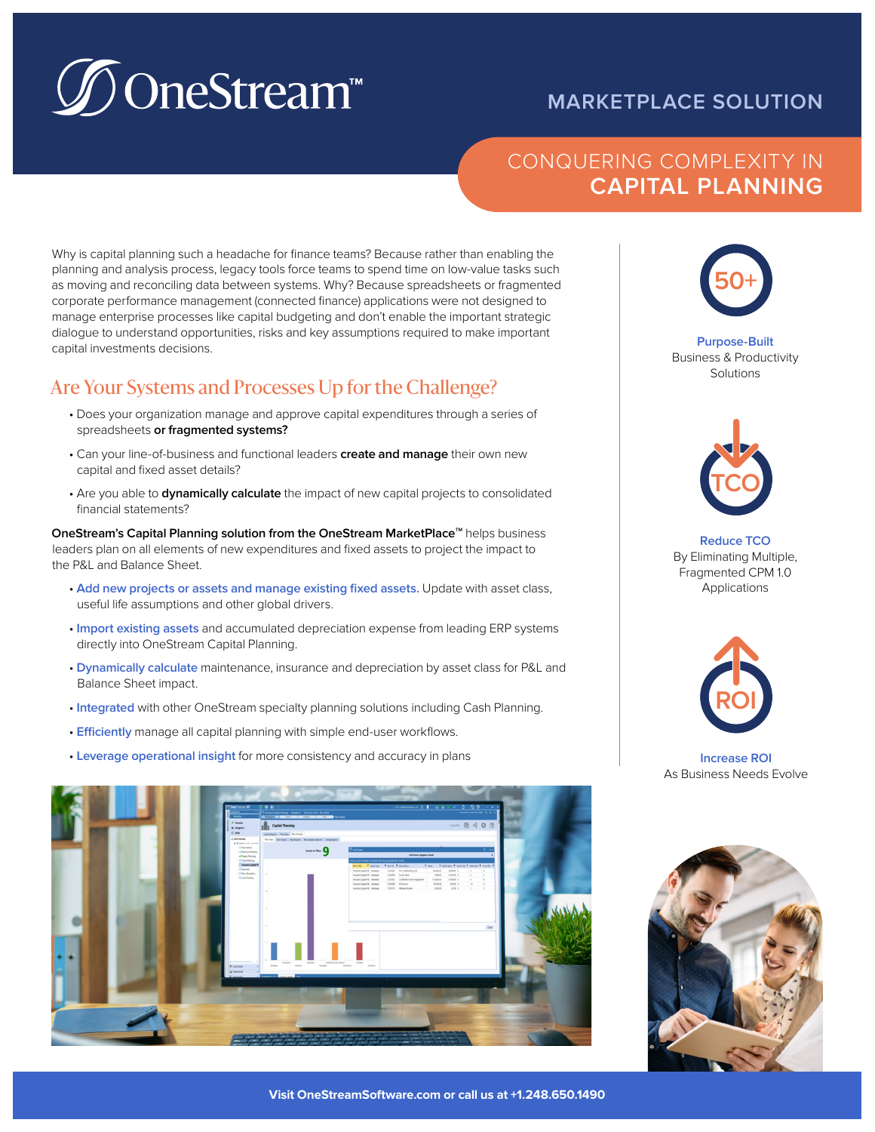# **D**OneStream™

# **MARKETPLACE SOLUTION**

# CONQUERING COMPLEXITY IN **CAPITAL PLANNING**

Why is capital planning such a headache for finance teams? Because rather than enabling the planning and analysis process, legacy tools force teams to spend time on low-value tasks such as moving and reconciling data between systems. Why? Because spreadsheets or fragmented corporate performance management (connected finance) applications were not designed to manage enterprise processes like capital budgeting and don't enable the important strategic dialogue to understand opportunities, risks and key assumptions required to make important capital investments decisions.

# Are Your Systems and Processes Up for the Challenge?

- Does your organization manage and approve capital expenditures through a series of spreadsheets **or fragmented systems?**
- Can your line-of-business and functional leaders **create and manage** their own new capital and fixed asset details?
- Are you able to **dynamically calculate** the impact of new capital projects to consolidated financial statements?

**OneStream's Capital Planning solution from the OneStream MarketPlace<sup>™</sup> helps business** leaders plan on all elements of new expenditures and fixed assets to project the impact to the P&L and Balance Sheet.

- **Add new projects or assets and manage existing fixed assets.** Update with asset class, useful life assumptions and other global drivers.
- **Import existing assets** and accumulated depreciation expense from leading ERP systems directly into OneStream Capital Planning.
- **Dynamically calculate** maintenance, insurance and depreciation by asset class for P&L and Balance Sheet impact.
- **Integrated** with other OneStream specialty planning solutions including Cash Planning.
- **Efficiently** manage all capital planning with simple end-user workflows.
- **Leverage operational insight** for more consistency and accuracy in plans





#### **Purpose-Built** Business & Productivity **Solutions**



**Reduce TCO** By Eliminating Multiple, Fragmented CPM 1.0 Applications



**Increase ROI**  As Business Needs Evolve